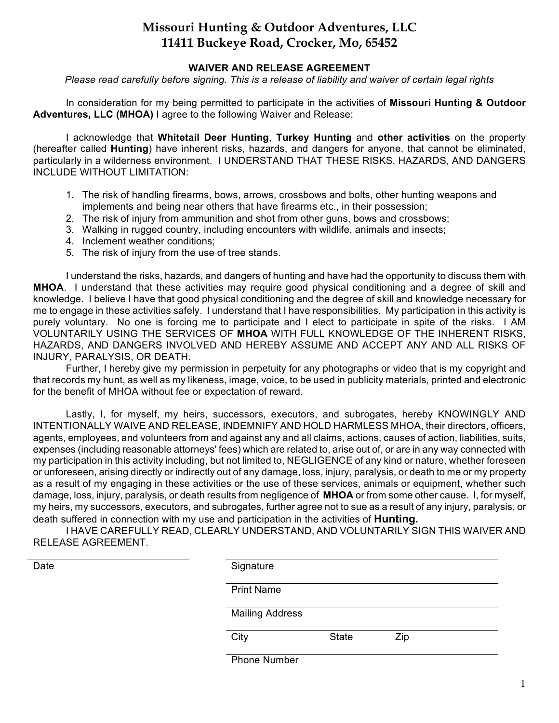## **Missouri Hunting & Outdoor Adventures, LLC 11411 Buckeye Road, Crocker, Mo, 65452**

## **WAIVER AND RELEASE AGREEMENT**

*Please read carefully before signing. This is a release of liability and waiver of certain legal rights*

In consideration for my being permitted to participate in the activities of **Missouri Hunting & Outdoor Adventures, LLC (MHOA)** I agree to the following Waiver and Release:

I acknowledge that **Whitetail Deer Hunting**, **Turkey Hunting** and **other activities** on the property (hereafter called **Hunting**) have inherent risks, hazards, and dangers for anyone, that cannot be eliminated, particularly in a wilderness environment. I UNDERSTAND THAT THESE RISKS, HAZARDS, AND DANGERS INCLUDE WITHOUT LIMITATION:

- 1. The risk of handling firearms, bows, arrows, crossbows and bolts, other hunting weapons and implements and being near others that have firearms etc., in their possession;
- 2. The risk of injury from ammunition and shot from other guns, bows and crossbows;
- 3. Walking in rugged country, including encounters with wildlife, animals and insects;
- 4. Inclement weather conditions;
- 5. The risk of injury from the use of tree stands.

I understand the risks, hazards, and dangers of hunting and have had the opportunity to discuss them with **MHOA**. I understand that these activities may require good physical conditioning and a degree of skill and knowledge. I believe I have that good physical conditioning and the degree of skill and knowledge necessary for me to engage in these activities safely. I understand that I have responsibilities. My participation in this activity is purely voluntary. No one is forcing me to participate and I elect to participate in spite of the risks. I AM VOLUNTARILY USING THE SERVICES OF **MHOA** WITH FULL KNOWLEDGE OF THE INHERENT RISKS, HAZARDS, AND DANGERS INVOLVED AND HEREBY ASSUME AND ACCEPT ANY AND ALL RISKS OF INJURY, PARALYSIS, OR DEATH.

Further, I hereby give my permission in perpetuity for any photographs or video that is my copyright and that records my hunt, as well as my likeness, image, voice, to be used in publicity materials, printed and electronic for the benefit of MHOA without fee or expectation of reward.

Lastly, I, for myself, my heirs, successors, executors, and subrogates, hereby KNOWINGLY AND INTENTIONALLY WAIVE AND RELEASE, INDEMNIFY AND HOLD HARMLESS MHOA, their directors, officers, agents, employees, and volunteers from and against any and all claims, actions, causes of action, liabilities, suits, expenses (including reasonable attorneys' fees) which are related to, arise out of, or are in any way connected with my participation in this activity including, but not limited to, NEGLIGENCE of any kind or nature, whether foreseen or unforeseen, arising directly or indirectly out of any damage, loss, injury, paralysis, or death to me or my property as a result of my engaging in these activities or the use of these services, animals or equipment, whether such damage, loss, injury, paralysis, or death results from negligence of **MHOA** or from some other cause. I, for myself, my heirs, my successors, executors, and subrogates, further agree not to sue as a result of any injury, paralysis, or death suffered in connection with my use and participation in the activities of **Hunting.**

I HAVE CAREFULLY READ, CLEARLY UNDERSTAND, AND VOLUNTARILY SIGN THIS WAIVER AND RELEASE AGREEMENT.

| Date | Signature           |                        |     |  |  |
|------|---------------------|------------------------|-----|--|--|
|      | <b>Print Name</b>   |                        |     |  |  |
|      |                     | <b>Mailing Address</b> |     |  |  |
|      | City                | <b>State</b>           | Zip |  |  |
|      | <b>Phone Number</b> |                        |     |  |  |